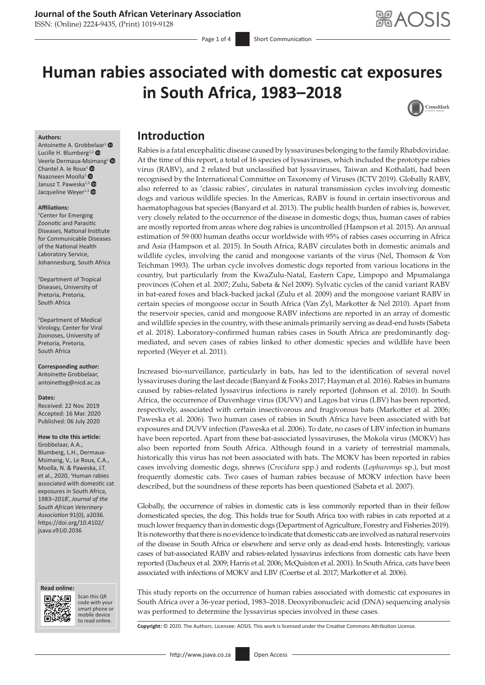# **Journal of the South African Veterinary Association**

ISSN: (Online) 2224-9435, (Print) 1019-9128

# **Human rabies associated with domestic cat exposures in South Africa, 1983–2018**



#### **Authors:**

Antoinette A. Grobb[elaa](https://orcid.org/0000-0002-2828-7678)r<sup>[1](https://orcid.org/0000-0002-2293-343X)</sup> Lucille H. Blumberg<sup>1,2</sup> Veerle Dermaux-M[sim](https://orcid.org/0000-0002-5840-2796)ang<sup>[1](https://orcid.org/0000-0002-9929-4015)</sup> <sup>®</sup> Chantel A. le Roux<sup>1</sup> $\bullet$ Naazneen Moolla<sup>[1](https://orcid.org/0000-0002-2069-6418)</sup> Janusz T. Paweska<sup>1,[3](https://orcid.org/0000-0001-8776-7519)</sup> Jacqueline Weyer<sup>1,[3](https://orcid.org/0000-0001-9471-2890)</sup>

#### **Affiliations:**

1 Center for Emerging Zoonotic and Parasitic Diseases, National Institute for Communicable Diseases of the National Health Laboratory Service, Johannesburg, South Africa

2 Department of Tropical Diseases, University of Pretoria, Pretoria, South Africa

3 Department of Medical Virology, Center for Viral Zoonoses, University of Pretoria, Pretoria, South Africa

**Corresponding author:** Antoinette Grobbelaar, [antoinetteg@nicd.ac.za](mailto:antoinetteg@nicd.ac.za)

#### **Dates:**

Received: 22 Nov. 2019 Accepted: 16 Mar. 2020 Published: 06 July 2020

**How to cite this article:** Grobbelaar, A.A., Blumberg, L.H., Dermaux-

Msimang, V., Le Roux, C.A., Moolla, N. & Paweska, J.T. et al., 2020, 'Human rabies associated with domestic cat exposures in South Africa, 1983–2018', *Journal of the South African Veterinary Association* 91(0), a2036. [https://doi.org/10.4102/](https://doi.org/10.4102/jsava.v91i0.2036) [jsava.v91i0.2036](https://doi.org/10.4102/jsava.v91i0.2036)

#### **Read online: Read online:**



Scan this QR code with your Scan this QR<br>code with your<br>smart phone or<br>mobile device mobile device to read online. to read online.

# **Introduction**

Rabies is a fatal encephalitic disease caused by lyssaviruses belonging to the family Rhabdoviridae. At the time of this report, a total of 16 species of lyssaviruses, which included the prototype rabies virus (RABV), and 2 related but unclassified bat lyssaviruses, Taiwan and Kothalati, had been recognised by the International Committee on Taxonomy of Viruses (ICTV 2019). Globally RABV, also referred to as 'classic rabies', circulates in natural transmission cycles involving domestic dogs and various wildlife species. In the Americas, RABV is found in certain insectivorous and haematophagous bat species (Banyard et al. 2013). The public health burden of rabies is, however, very closely related to the occurrence of the disease in domestic dogs; thus, human cases of rabies are mostly reported from areas where dog rabies is uncontrolled (Hampson et al. 2015). An annual estimation of 59 000 human deaths occur worldwide with 95% of rabies cases occurring in Africa and Asia (Hampson et al. 2015). In South Africa, RABV circulates both in domestic animals and wildlife cycles, involving the canid and mongoose variants of the virus (Nel, Thomson & Von Teichman 1993). The urban cycle involves domestic dogs reported from various locations in the country, but particularly from the KwaZulu-Natal, Eastern Cape, Limpopo and Mpumalanga provinces (Cohen et al. 2007; Zulu, Sabeta & Nel 2009). Sylvatic cycles of the canid variant RABV in bat-eared foxes and black-backed jackal (Zulu et al. 2009) and the mongoose variant RABV in certain species of mongoose occur in South Africa (Van Zyl, Markotter & Nel 2010). Apart from the reservoir species, canid and mongoose RABV infections are reported in an array of domestic and wildlife species in the country, with these animals primarily serving as dead-end hosts (Sabeta et al. 2018). Laboratory-confirmed human rabies cases in South Africa are predominantly dogmediated, and seven cases of rabies linked to other domestic species and wildlife have been reported (Weyer et al. 2011).

Increased bio-surveillance, particularly in bats, has led to the identification of several novel lyssaviruses during the last decade (Banyard & Fooks 2017; Hayman et al. 2016). Rabies in humans caused by rabies-related lyssavirus infections is rarely reported (Johnson et al. 2010). In South Africa, the occurrence of Duvenhage virus (DUVV) and Lagos bat virus (LBV) has been reported, respectively, associated with certain insectivorous and frugivorous bats (Markotter et al. 2006; Paweska et al. 2006). Two human cases of rabies in South Africa have been associated with bat exposures and DUVV infection (Paweska et al. 2006). To date, no cases of LBV infection in humans have been reported. Apart from these bat-associated lyssaviruses, the Mokola virus (MOKV) has also been reported from South Africa. Although found in a variety of terrestrial mammals, historically this virus has not been associated with bats. The MOKV has been reported in rabies cases involving domestic dogs, shrews (*Crocidura* spp.) and rodents (*Lophuromys* sp.), but most frequently domestic cats. Two cases of human rabies because of MOKV infection have been described, but the soundness of these reports has been questioned (Sabeta et al. 2007).

Globally, the occurrence of rabies in domestic cats is less commonly reported than in their fellow domesticated species, the dog. This holds true for South Africa too with rabies in cats reported at a much lower frequency than in domestic dogs (Department of Agriculture, Forestry and Fisheries 2019). It is noteworthy that there is no evidence to indicate that domestic cats are involved as natural reservoirs of the disease in South Africa or elsewhere and serve only as dead-end hosts. Interestingly, various cases of bat-associated RABV and rabies-related lyssavirus infections from domestic cats have been reported (Dacheux et al. 2009; Harris et al. 2006; McQuiston et al. 2001). In South Africa, cats have been associated with infections of MOKV and LBV (Coertse et al. 2017; Markotter et al. 2006).

This study reports on the occurrence of human rabies associated with domestic cat exposures in South Africa over a 36-year period, 1983–2018. Deoxyribonucleic acid (DNA) sequencing analysis was performed to determine the lyssavirus species involved in these cases.

**Copyright:** © 2020. The Authors. Licensee: AOSIS. This work is licensed under the Creative Commons Attribution License.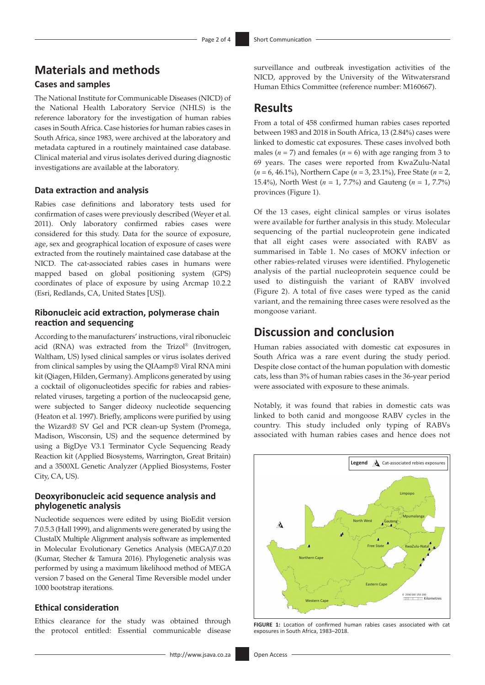# **Materials and methods**

## **Cases and samples**

The National Institute for Communicable Diseases (NICD) of the National Health Laboratory Service (NHLS) is the reference laboratory for the investigation of human rabies cases in South Africa. Case histories for human rabies cases in South Africa, since 1983, were archived at the laboratory and metadata captured in a routinely maintained case database. Clinical material and virus isolates derived during diagnostic investigations are available at the laboratory.

#### **Data extraction and analysis**

Rabies case definitions and laboratory tests used for confirmation of cases were previously described (Weyer et al. 2011). Only laboratory confirmed rabies cases were considered for this study. Data for the source of exposure, age, sex and geographical location of exposure of cases were extracted from the routinely maintained case database at the NICD. The cat-associated rabies cases in humans were mapped based on global positioning system (GPS) coordinates of place of exposure by using Arcmap 10.2.2 (Esri, Redlands, CA, United States [US]).

#### **Ribonucleic acid extraction, polymerase chain reaction and sequencing**

According to the manufacturers' instructions, viral ribonucleic acid (RNA) was extracted from the Trizol® (Invitrogen, Waltham, US) lysed clinical samples or virus isolates derived from clinical samples by using the QIAamp® Viral RNA mini kit (Qiagen, Hilden, Germany). Amplicons generated by using a cocktail of oligonucleotides specific for rabies and rabiesrelated viruses, targeting a portion of the nucleocapsid gene, were subjected to Sanger dideoxy nucleotide sequencing (Heaton et al. 1997). Briefly, amplicons were purified by using the Wizard® SV Gel and PCR clean-up System (Promega, Madison, Wisconsin, US) and the sequence determined by using a BigDye V3.1 Terminator Cycle Sequencing Ready Reaction kit (Applied Biosystems, Warrington, Great Britain) and a 3500XL Genetic Analyzer (Applied Biosystems, Foster City, CA, US).

### **Deoxyribonucleic acid sequence analysis and phylogenetic analysis**

Nucleotide sequences were edited by using BioEdit version 7.0.5.3 (Hall 1999), and alignments were generated by using the ClustalX Multiple Alignment analysis software as implemented in Molecular Evolutionary Genetics Analysis (MEGA)7.0.20 (Kumar, Stecher & Tamura 2016). Phylogenetic analysis was performed by using a maximum likelihood method of MEGA version 7 based on the General Time Reversible model under 1000 bootstrap iterations.

#### **Ethical consideration**

Ethics clearance for the study was obtained through the protocol entitled: Essential communicable disease

surveillance and outbreak investigation activities of the NICD, approved by the University of the Witwatersrand Human Ethics Committee (reference number: M160667).

## **Results**

From a total of 458 confirmed human rabies cases reported between 1983 and 2018 in South Africa, 13 (2.84%) cases were linked to domestic cat exposures. These cases involved both males  $(n = 7)$  and females  $(n = 6)$  with age ranging from 3 to 69 years. The cases were reported from KwaZulu-Natal (*n* = 6, 46.1%), Northern Cape (*n* = 3, 23.1%), Free State (*n* = 2, 15.4%), North West (*n* = 1, 7.7%) and Gauteng (*n* = 1, 7.7%) provinces (Figure 1).

Of the 13 cases, eight clinical samples or virus isolates were available for further analysis in this study. Molecular sequencing of the partial nucleoprotein gene indicated that all eight cases were associated with RABV as summarised in Table 1. No cases of MOKV infection or other rabies-related viruses were identified. Phylogenetic analysis of the partial nucleoprotein sequence could be used to distinguish the variant of RABV involved (Figure 2). A total of five cases were typed as the canid variant, and the remaining three cases were resolved as the mongoose variant.

## **Discussion and conclusion**

Human rabies associated with domestic cat exposures in South Africa was a rare event during the study period. Despite close contact of the human population with domestic cats, less than 3% of human rabies cases in the 36-year period were associated with exposure to these animals.

Notably, it was found that rabies in domestic cats was linked to both canid and mongoose RABV cycles in the country. This study included only typing of RABVs associated with human rabies cases and hence does not



**FIGURE 1:** Location of confirmed human rabies cases associated with cat exposures in South Africa, 1983–2018.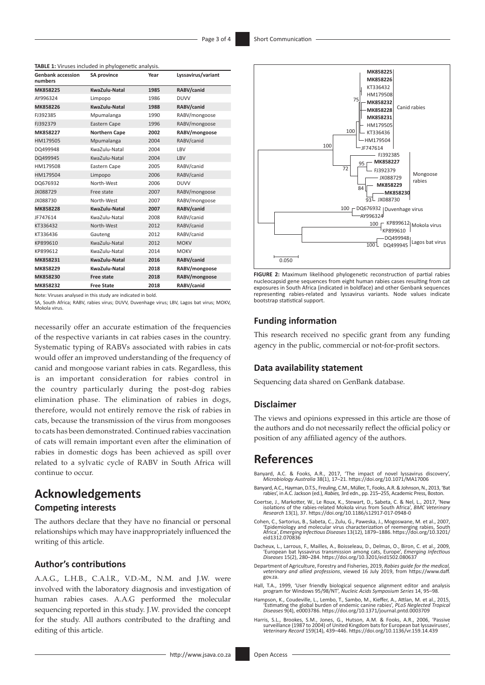| <b>Genbank accession</b><br>numbers | <b>SA province</b>   | Year | Lyssavirus/variant |
|-------------------------------------|----------------------|------|--------------------|
| MK858225                            | KwaZulu-Natal        | 1985 | RABV/canid         |
| AY996324                            | Limpopo              | 1986 | <b>DUVV</b>        |
| MK858226                            | KwaZulu-Natal        | 1988 | RABV/canid         |
| FJ392385                            | Mpumalanga           | 1990 | RABV/mongoose      |
| FJ392379                            | <b>Eastern Cape</b>  | 1996 | RABV/mongoose      |
| MK858227                            | <b>Northern Cape</b> | 2002 | RABV/mongoose      |
| HM179505                            | Mpumalanga           | 2004 | RABV/canid         |
| DQ499948                            | KwaZulu-Natal        | 2004 | LBV                |
| DQ499945                            | KwaZulu-Natal        | 2004 | LBV                |
| HM179508                            | Eastern Cape         | 2005 | RABV/canid         |
| HM179504                            | Limpopo              | 2006 | RABV/canid         |
| DQ676932                            | North-West           | 2006 | <b>DUVV</b>        |
| JX088729                            | Free state           | 2007 | RABV/mongoose      |
| JX088730                            | North-West           | 2007 | RABV/mongoose      |
| MK858228                            | KwaZulu-Natal        | 2007 | RABV/canid         |
| JF747614                            | KwaZulu-Natal        | 2008 | RABV/canid         |
| KT336432                            | North-West           | 2012 | RABV/canid         |
| KT336436                            | Gauteng              | 2012 | RABV/canid         |
| KP899610                            | KwaZulu-Natal        | 2012 | <b>MOKV</b>        |
| KP899612                            | KwaZulu-Natal        | 2014 | <b>MOKV</b>        |
| MK858231                            | KwaZulu-Natal        | 2016 | RABV/canid         |
| MK858229                            | KwaZulu-Natal        | 2018 | RABV/mongoose      |
| MK858230                            | <b>Free state</b>    | 2018 | RABV/mongoose      |
| MK858232                            | <b>Free State</b>    | 2018 | RABV/canid         |

**TABLE 1:** Viruses included in phylogenetic analysis.

Note: Viruses analysed in this study are indicated in bold.

SA, South Africa; RABV, rabies virus; DUVV, Duvenhage virus; LBV, Lagos bat virus; MOKV, Mokola virus.

necessarily offer an accurate estimation of the frequencies of the respective variants in cat rabies cases in the country. Systematic typing of RABVs associated with rabies in cats would offer an improved understanding of the frequency of canid and mongoose variant rabies in cats. Regardless, this is an important consideration for rabies control in the country particularly during the post-dog rabies elimination phase. The elimination of rabies in dogs, therefore, would not entirely remove the risk of rabies in cats, because the transmission of the virus from mongooses to cats has been demonstrated. Continued rabies vaccination of cats will remain important even after the elimination of rabies in domestic dogs has been achieved as spill over related to a sylvatic cycle of RABV in South Africa will continue to occur.

## **Acknowledgements**

#### **Competing interests**

The authors declare that they have no financial or personal relationships which may have inappropriately influenced the writing of this article.

### **Author's contributions**

A.A.G., L.H.B., C.A.l.R., V.D.-M., N.M. and J.W. were involved with the laboratory diagnosis and investigation of human rabies cases. A.A.G performed the molecular sequencing reported in this study. J.W. provided the concept for the study. All authors contributed to the drafting and editing of this article.



**FIGURE 2:** Maximum likelihood phylogenetic reconstruction of partial rabies nucleocapsid gene sequences from eight human rabies cases resulting from cat exposures in South Africa (indicated in boldface) and other Genbank sequences representing rabies-related and lyssavirus variants. Node values indicate bootstrap statistical support.

#### **Funding information**

This research received no specific grant from any funding agency in the public, commercial or not-for-profit sectors.

#### **Data availability statement**

Sequencing data shared on GenBank database.

#### **Disclaimer**

The views and opinions expressed in this article are those of the authors and do not necessarily reflect the official policy or position of any affiliated agency of the authors.

## **References**

- Banyard, A.C. & Fooks, A.R., 2017, 'The impact of novel lyssavirus discovery', *Microbiology Australia* 38(1), 17–21.<https://doi.org/10.1071/MA17006>
- Banyard, A.C., Hayman, D.T.S., Freuling, C.M., Müller, T., Fooks, A.R. & Johnson, N., 2013, 'Bat rabies', in A.C. Jackson (ed.), *Rabies,* 3rd edn., pp. 215–255, Academic Press, Boston.
- Coertse, J., Markotter, W., Le Roux, K., Stewart, D., Sabeta, C. & Nel, L., 2017, 'New isolations of the rabies-related Mokola virus from South Africa', *BMC Veterinary Research* 13(1), 37. <https://doi.org/10.1186/s12917-017-0948-0>
- Cohen, C., Sartorius, B., Sabeta, C., Zulu, G., Paweska, J., Mogoswane, M. et al., 2007, 'Epidemiology and molecular virus characterization of reemerging rabies, South Africa', *Emerging Infectious Diseases* 13(12), 1879–1886. [https://doi.org/10.3201/](https://doi.org/10.3201/eid1312.070836) [eid1312.070836](https://doi.org/10.3201/eid1312.070836)
- Dacheux, L., Larrous, F., Mailles, A., Boisseleau, D., Delmas, O., Biron, C. et al., 2009, 'European bat lyssavirus transmission among cats, Europe', *Emerging Infectious Diseases* 15(2), 280–284.<https://doi.org/10.3201/eid1502.080637>
- Department of Agriculture, Forestry and Fisheries, 2019, *Rabies guide for the medical, veterinary and allied professions*, viewed 16 July 2019, from [https://www.daff.](https://www.daff.gov.za) [gov.za](https://www.daff.gov.za).
- Hall, T.A., 1999, 'User friendly biological sequence alignment editor and analysis program for Windows 95/98/NT', *Nucleic Acids Symposium Series* 14, 95–98.
- Hampson, K., Coudeville, L., Lembo, T., Sambo, M., Kieffer, A., Attlan, M. et al., 2015, 'Estimating the global burden of endemic canine rabies', *PLoS Neglected Tropical Diseases* 9(4), e0003786.<https://doi.org/10.1371/journal.pntd.0003709>
- Harris, S.L., Brookes, S.M., Jones, G., Hutson, A.M. & Fooks, A.R., 2006, 'Passive surveillance (1987 to 2004) of United Kingdom bats for European bat lyssaviruses', *Veterinary Record* 159(14), 439–446. <https://doi.org/10.1136/vr.159.14.439>